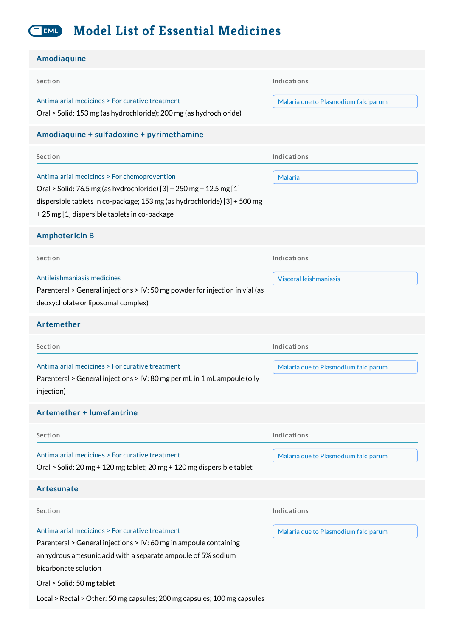#### **Model List of Essential Medicines** EML

#### Amodiaquine

| Amvulayumv                                                                                                                                                                                                                                       |                                      |
|--------------------------------------------------------------------------------------------------------------------------------------------------------------------------------------------------------------------------------------------------|--------------------------------------|
| Section                                                                                                                                                                                                                                          | Indications                          |
| Antimalarial medicines > For curative treatment<br>Oral > Solid: 153 mg (as hydrochloride); 200 mg (as hydrochloride)                                                                                                                            | Malaria due to Plasmodium falciparum |
| Amodiaquine + sulfadoxine + pyrimethamine                                                                                                                                                                                                        |                                      |
| Section                                                                                                                                                                                                                                          | Indications                          |
| Antimalarial medicines > For chemoprevention<br>Oral > Solid: 76.5 mg (as hydrochloride) [3] + 250 mg + 12.5 mg [1]<br>dispersible tablets in co-package; 153 mg (as hydrochloride) [3] + 500 mg<br>+25 mg [1] dispersible tablets in co-package | Malaria                              |
| <b>Amphotericin B</b>                                                                                                                                                                                                                            |                                      |
| Section                                                                                                                                                                                                                                          | Indications                          |
| Antileishmaniasis medicines<br>Parenteral > General injections > IV: 50 mg powder for injection in vial (as<br>deoxycholate or liposomal complex)                                                                                                | Visceral leishmaniasis               |
| Artemether                                                                                                                                                                                                                                       |                                      |
| Section                                                                                                                                                                                                                                          | Indications                          |
| Antimalarial medicines > For curative treatment<br>Parenteral > General injections > IV: 80 mg per mL in 1 mL ampoule (oily<br>injection)                                                                                                        | Malaria due to Plasmodium falciparum |
| Artemether + lumefantrine                                                                                                                                                                                                                        |                                      |
| Section                                                                                                                                                                                                                                          | Indications                          |
| Antimalarial medicines > For curative treatment<br>Oral > Solid: 20 mg + 120 mg tablet; 20 mg + 120 mg dispersible tablet                                                                                                                        | Malaria due to Plasmodium falciparum |
| Artesunate                                                                                                                                                                                                                                       |                                      |
| Section                                                                                                                                                                                                                                          | Indications                          |
| Antimalarial medicines > For curative treatment<br>Parenteral > General injections > IV: 60 mg in ampoule containing<br>anhydrous artesunic acid with a separate ampoule of 5% sodium                                                            | Malaria due to Plasmodium falciparum |

bicarbonate solution

Oral > Solid: 50 mg tablet

Local > Rectal > Other: 50 mg capsules; 200 mg capsules; 100 mg capsules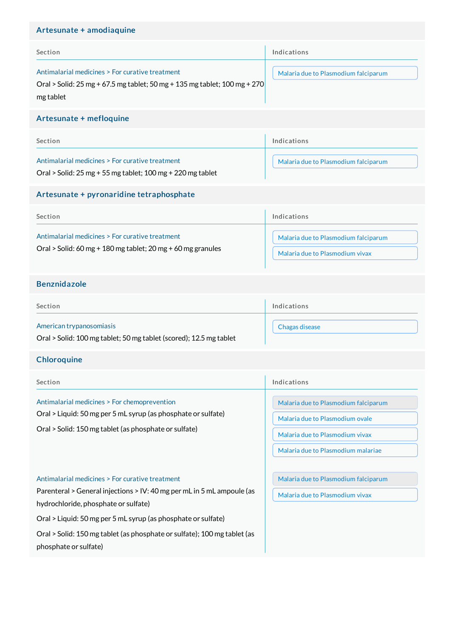#### Artesunate + amodiaquine

| Section                                                                                                                                   | Indications                          |
|-------------------------------------------------------------------------------------------------------------------------------------------|--------------------------------------|
| Antimalarial medicines > For curative treatment<br>Oral > Solid: 25 mg + 67.5 mg tablet; 50 mg + 135 mg tablet; 100 mg + 270<br>mg tablet | Malaria due to Plasmodium falciparum |

#### Artesunate + mefloquine

| Section                                                      | Indications                          |
|--------------------------------------------------------------|--------------------------------------|
| Antimalarial medicines > For curative treatment              | Malaria due to Plasmodium falciparum |
| Oral > Solid: $25$ mg + 55 mg tablet; 100 mg + 220 mg tablet |                                      |

#### Artesunate + pyronaridine tetraphosphate

| Section                                                                                                        | Indications                                                             |
|----------------------------------------------------------------------------------------------------------------|-------------------------------------------------------------------------|
| Antimalarial medicines > For curative treatment<br>Oral > Solid: 60 mg + 180 mg tablet; 20 mg + 60 mg granules | Malaria due to Plasmodium falciparum<br>Malaria due to Plasmodium vivax |
|                                                                                                                |                                                                         |

#### Benznidazole

| Section                                      | Indications    |
|----------------------------------------------|----------------|
| American trypanosomiasis<br>.<br>.<br>.<br>. | Chagas disease |

Oral > Solid: 100 mg tablet; 50 mg tablet (scored); 12.5 mg tablet

#### **Chloroquine**

| Section                                                                                                                                                                                                                            | Indications                                                                                                                                      |
|------------------------------------------------------------------------------------------------------------------------------------------------------------------------------------------------------------------------------------|--------------------------------------------------------------------------------------------------------------------------------------------------|
| Antimalarial medicines > For chemoprevention<br>Oral > Liquid: 50 mg per 5 mL syrup (as phosphate or sulfate)<br>Oral > Solid: 150 mg tablet (as phosphate or sulfate)                                                             | Malaria due to Plasmodium falciparum<br>Malaria due to Plasmodium ovale<br>Malaria due to Plasmodium vivax<br>Malaria due to Plasmodium malariae |
| Antimalarial medicines > For curative treatment<br>Parenteral > General injections > IV: 40 mg per mL in 5 mL ampoule (as<br>hydrochloride, phosphate or sulfate)<br>Oral > Liquid: 50 mg per 5 mL syrup (as phosphate or sulfate) | Malaria due to Plasmodium falciparum<br>Malaria due to Plasmodium vivax                                                                          |
| Oral > Solid: 150 mg tablet (as phosphate or sulfate); 100 mg tablet (as<br>phosphate or sulfate)                                                                                                                                  |                                                                                                                                                  |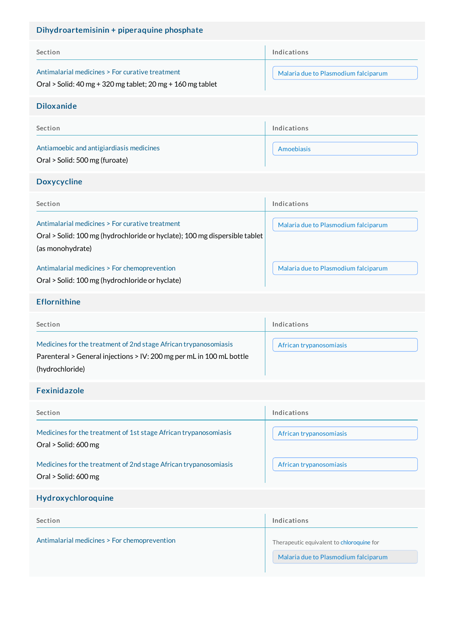| Dihydroartemisinin + piperaquine phosphate                                                                                                                  |                                                                                   |  |
|-------------------------------------------------------------------------------------------------------------------------------------------------------------|-----------------------------------------------------------------------------------|--|
| Section                                                                                                                                                     | Indications                                                                       |  |
| Antimalarial medicines > For curative treatment<br>Oral > Solid: $40$ mg + 320 mg tablet; $20$ mg + $160$ mg tablet                                         | Malaria due to Plasmodium falciparum                                              |  |
| <b>Diloxanide</b>                                                                                                                                           |                                                                                   |  |
| Section                                                                                                                                                     | Indications                                                                       |  |
| Antiamoebic and antigiardiasis medicines<br>Oral > Solid: 500 mg (furoate)                                                                                  | Amoebiasis                                                                        |  |
| <b>Doxycycline</b>                                                                                                                                          |                                                                                   |  |
| Section                                                                                                                                                     | Indications                                                                       |  |
| Antimalarial medicines > For curative treatment<br>Oral > Solid: 100 mg (hydrochloride or hyclate); 100 mg dispersible tablet<br>(as monohydrate)           | Malaria due to Plasmodium falciparum                                              |  |
| Antimalarial medicines > For chemoprevention<br>Oral > Solid: 100 mg (hydrochloride or hyclate)                                                             | Malaria due to Plasmodium falciparum                                              |  |
| <b>Eflornithine</b>                                                                                                                                         |                                                                                   |  |
| Section                                                                                                                                                     | Indications                                                                       |  |
| Medicines for the treatment of 2nd stage African trypanosomiasis<br>Parenteral > General injections > IV: 200 mg per mL in 100 mL bottle<br>(hydrochloride) | African trypanosomiasis                                                           |  |
| <b>Fexinidazole</b>                                                                                                                                         |                                                                                   |  |
| Section                                                                                                                                                     | Indications                                                                       |  |
| Medicines for the treatment of 1st stage African trypanosomiasis<br>Oral > Solid: 600 mg                                                                    | African trypanosomiasis                                                           |  |
| Medicines for the treatment of 2nd stage African trypanosomiasis<br>Oral > Solid: 600 mg                                                                    | African trypanosomiasis                                                           |  |
| Hydroxychloroquine                                                                                                                                          |                                                                                   |  |
| Section                                                                                                                                                     | Indications                                                                       |  |
| Antimalarial medicines > For chemoprevention                                                                                                                | Therapeutic equivalent to chloroquine for<br>Malaria due to Plasmodium falciparum |  |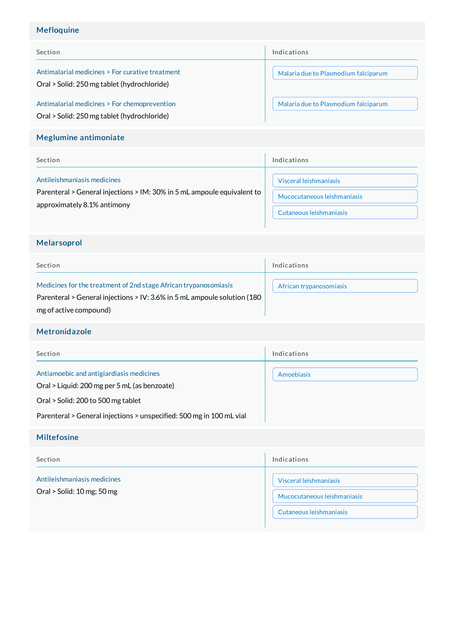# Mefloquine

| Section                                                                                        | Indications                          |
|------------------------------------------------------------------------------------------------|--------------------------------------|
| Antimalarial medicines > For curative treatment<br>Oral > Solid: 250 mg tablet (hydrochloride) | Malaria due to Plasmodium falciparum |
| Antimalarial medicines > For chemoprevention<br>Oral > Solid: 250 mg tablet (hydrochloride)    | Malaria due to Plasmodium falciparum |

## Meglumine antimoniate

| Section                                                                 | Indications                 |
|-------------------------------------------------------------------------|-----------------------------|
| Antileishmaniasis medicines                                             | Visceral leishmaniasis      |
| Parenteral > General injections > IM: 30% in 5 mL ampoule equivalent to | Mucocutaneous leishmaniasis |
| approximately 8.1% antimony                                             | Cutaneous leishmaniasis     |

## Melarsoprol

| Section                                                                                                                                                                | Indications             |
|------------------------------------------------------------------------------------------------------------------------------------------------------------------------|-------------------------|
| Medicines for the treatment of 2nd stage African trypanosomiasis<br>Parenteral > General injections > IV: 3.6% in 5 mL ampoule solution (180<br>mg of active compound) | African trypanosomiasis |

# Metronidazole

| Section                                                                                                                        | Indications |
|--------------------------------------------------------------------------------------------------------------------------------|-------------|
| Antiamoebic and antigiardiasis medicines<br>Oral > Liquid: 200 mg per 5 mL (as benzoate)<br>Oral > Solid: 200 to 500 mg tablet | Amoebiasis  |
| Parenteral > General injections > unspecified: 500 mg in 100 mL vial                                                           |             |
| <b>Miltefosine</b>                                                                                                             |             |
|                                                                                                                                |             |

| Section                                                     | Indications                                                                      |
|-------------------------------------------------------------|----------------------------------------------------------------------------------|
| Antileishmaniasis medicines<br>Oral $>$ Solid: 10 mg; 50 mg | Visceral leishmaniasis<br>Mucocutaneous leishmaniasis<br>Cutaneous leishmaniasis |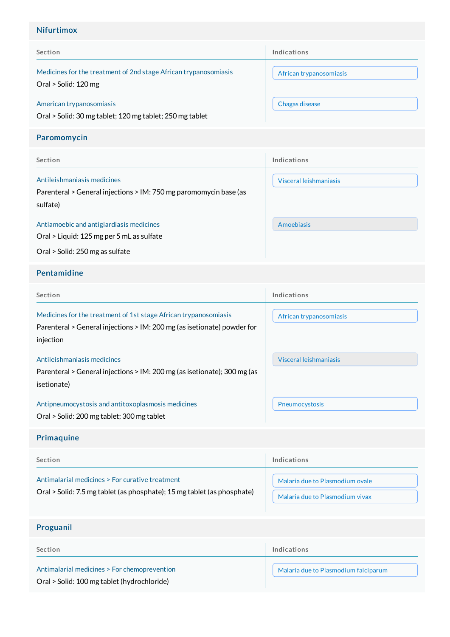## Nifurtimox

| Section                                                                                  | Indications             |
|------------------------------------------------------------------------------------------|-------------------------|
| Medicines for the treatment of 2nd stage African trypanosomiasis<br>Oral > Solid: 120 mg | African trypanosomiasis |
| American trypanosomiasis<br>Oral > Solid: 30 mg tablet; 120 mg tablet; 250 mg tablet     | Chagas disease          |

## Paromomycin

| Section                                                                                                      | Indications            |
|--------------------------------------------------------------------------------------------------------------|------------------------|
| Antileishmaniasis medicines<br>Parenteral > General injections > IM: 750 mg paromomycin base (as<br>sulfate) | Visceral leishmaniasis |
| Antiamoebic and antigiardiasis medicines<br>Oral > Liquid: 125 mg per 5 mL as sulfate                        | Amoebiasis             |
| Oral > Solid: 250 mg as sulfate                                                                              |                        |

#### Pentamidine

| Section                                                                                                                                                  | Indications             |
|----------------------------------------------------------------------------------------------------------------------------------------------------------|-------------------------|
| Medicines for the treatment of 1st stage African trypanosomiasis<br>Parenteral > General injections > IM: 200 mg (as isetionate) powder for<br>injection | African trypanosomiasis |
| Antileishmaniasis medicines<br>Parenteral > General injections > IM: 200 mg (as isetionate); 300 mg (as<br>isetionate)                                   | Visceral leishmaniasis  |
| Antipneumocystosis and antitoxoplasmosis medicines<br>Oral > Solid: 200 mg tablet; 300 mg tablet                                                         | Pneumocystosis          |

# Primaquine

| Section                                                                 | Indications                     |
|-------------------------------------------------------------------------|---------------------------------|
| Antimalarial medicines > For curative treatment                         | Malaria due to Plasmodium ovale |
| Oral > Solid: 7.5 mg tablet (as phosphate); 15 mg tablet (as phosphate) | Malaria due to Plasmodium vivax |

# Proguanil

| Section                                                                                     | Indications                          |
|---------------------------------------------------------------------------------------------|--------------------------------------|
| Antimalarial medicines > For chemoprevention<br>Oral > Solid: 100 mg tablet (hydrochloride) | Malaria due to Plasmodium falciparum |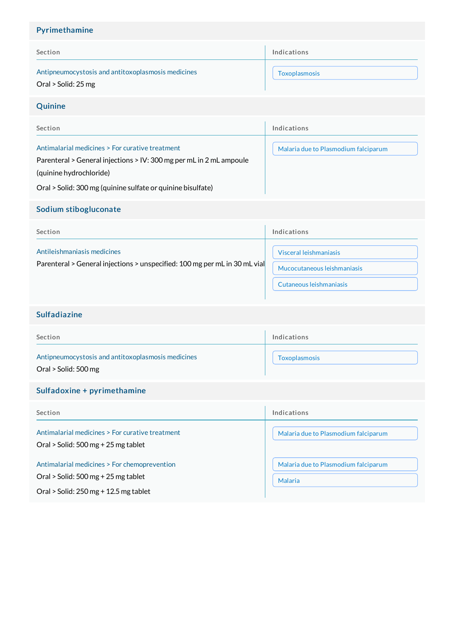# Section Antipneumocystosis and antitoxoplasmosis medicines Indications [Toxoplasmosis](http://list.essentialmeds.org/recommendations/894) Pyrimethamine Oral > Solid: 25 mg Quinine

| Section                                                                                                                | Indications                          |
|------------------------------------------------------------------------------------------------------------------------|--------------------------------------|
| Antimalarial medicines > For curative treatment<br>Parenteral > General injections > IV: 300 mg per mL in 2 mL ampoule | Malaria due to Plasmodium falciparum |
| (quinine hydrochloride)                                                                                                |                                      |
| Oral > Solid: 300 mg (quinine sulfate or quinine bisulfate)                                                            |                                      |

#### Sodium stibogluconate

| Section                                                                                                   | Indications                                                                      |
|-----------------------------------------------------------------------------------------------------------|----------------------------------------------------------------------------------|
| Antileishmaniasis medicines<br>Parenteral > General injections > unspecified: 100 mg per mL in 30 mL vial | Visceral leishmaniasis<br>Mucocutaneous leishmaniasis<br>Cutaneous leishmaniasis |

## Sulfadiazine

| Section                                                                    | Indications          |
|----------------------------------------------------------------------------|----------------------|
| Antipneumocystosis and antitoxoplasmosis medicines<br>Oral > Solid: 500 mg | <b>Toxoplasmosis</b> |

## Sulfadoxine + pyrimethamine

| Section                                                                                             | Indications                                            |
|-----------------------------------------------------------------------------------------------------|--------------------------------------------------------|
| Antimalarial medicines > For curative treatment<br>Oral > Solid: $500 \,\mathrm{mg}$ + 25 mg tablet | Malaria due to Plasmodium falciparum                   |
| Antimalarial medicines > For chemoprevention<br>Oral > Solid: $500 \,\mathrm{mg}$ + 25 mg tablet    | Malaria due to Plasmodium falciparum<br><b>Malaria</b> |
| Oral > Solid: $250$ mg + 12.5 mg tablet                                                             |                                                        |